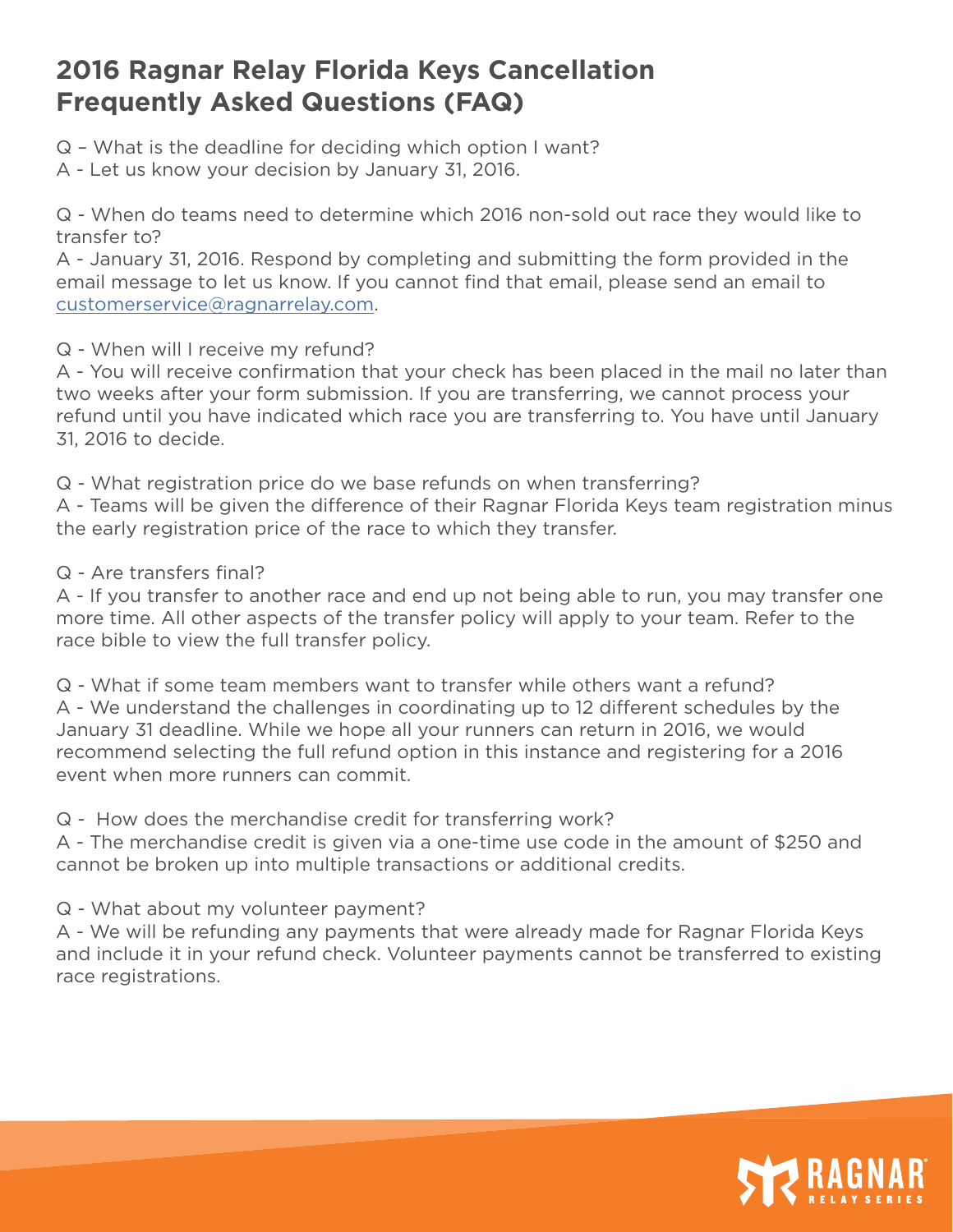## **2016 Ragnar Relay Florida Keys Cancellation Frequently Asked Questions (FAQ)**

Q – What is the deadline for deciding which option I want?

A - Let us know your decision by January 31, 2016.

Q - When do teams need to determine which 2016 non-sold out race they would like to transfer to?

A - January 31, 2016. Respond by completing and submitting the form provided in the email message to let us know. If you cannot find that email, please send an email to customerservice@ragnarrelay.com.

Q - When will I receive my refund?

A - You will receive confirmation that your check has been placed in the mail no later than two weeks after your form submission. If you are transferring, we cannot process your refund until you have indicated which race you are transferring to. You have until January 31, 2016 to decide.

Q - What registration price do we base refunds on when transferring?

A - Teams will be given the difference of their Ragnar Florida Keys team registration minus the early registration price of the race to which they transfer.

Q - Are transfers final?

A - If you transfer to another race and end up not being able to run, you may transfer one more time. All other aspects of the transfer policy will apply to your team. Refer to the race bible to view the full transfer policy.

Q - What if some team members want to transfer while others want a refund? A - We understand the challenges in coordinating up to 12 different schedules by the January 31 deadline. While we hope all your runners can return in 2016, we would recommend selecting the full refund option in this instance and registering for a 2016 event when more runners can commit.

Q - How does the merchandise credit for transferring work?

A - The merchandise credit is given via a one-time use code in the amount of \$250 and cannot be broken up into multiple transactions or additional credits.

Q - What about my volunteer payment?

A - We will be refunding any payments that were already made for Ragnar Florida Keys and include it in your refund check. Volunteer payments cannot be transferred to existing race registrations.